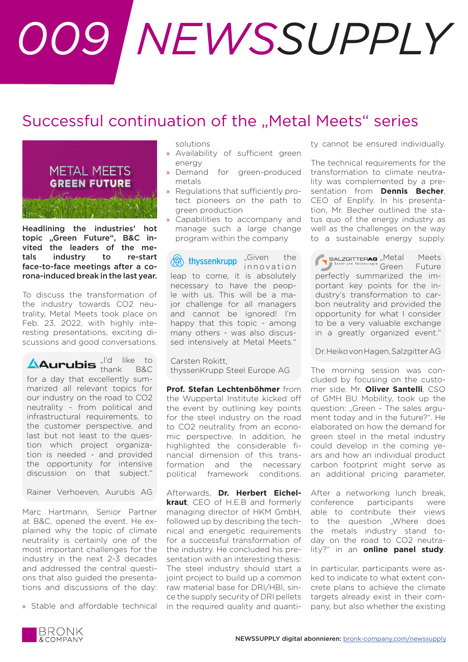## *009 NEWSSUPPLY*

## Successful continuation of the "Metal Meets" series



Headlining the industries' hot topic "Green Future", B&C invited the leaders of the metals industry to re-start face-to-face meetings after a corona-induced break in the last year.

To discuss the transformation of the industry towards CO2 neutrality, Metal Meets took place on Feb. 23, 2022, with highly interesting presentations, exciting discussions and good conversations.

"I'd like to  $t$  thank B&C for a day that excellently summarized all relevant topics for our industry on the road to CO2 neutrality - from political and infrastructural requirements, to the customer perspective, and last but not least to the question which project organization is needed - and provided the opportunity for intensive discussion on that subject."

Rainer Verhoeven, Aurubis AG

Marc Hartmann, Senior Partner at B&C, opened the event. He explained why the topic of climate neutrality is certainly one of the most important challenges for the industry in the next 2-3 decades and addressed the central questions that also guided the presentations and discussions of the day:

» Stable and affordable technical

solutions

- » Availability of sufficient green energy
- » Demand for green-produced metals
- » Regulations that sufficiently protect pioneers on the path to green production
- » Capabilities to accompany and manage such a large change program within the company

"Given the in novation leap to come, it is absolutely necessary to have the people with us. This will be a major challenge for all managers and cannot be ignored! I'm happy that this topic - among many others - was also discussed intensively at Metal Meets."

Carsten Rokitt, thyssenKrupp Steel Europe AG

**Prof. Stefan Lechtenböhmer** from the Wuppertal Institute kicked off the event by outlining key points for the steel industry on the road to CO2 neutrality from an economic perspective. In addition, he highlighted the considerable financial dimension of this transformation and the necessary political framework conditions.

Afterwards, **Dr. Herbert Eichelkraut**, CEO of H.E.B and formerly managing director of HKM GmbH, followed up by describing the technical and energetic requirements for a successful transformation of the industry. He concluded his presentation with an interesting thesis: The steel industry should start a joint project to build up a common raw material base for DRI/HBI, since the supply security of DRI pellets in the required quality and quantity cannot be ensured individually.

The technical requirements for the transformation to climate neutrality was complemented by a presentation from **Dennis Becher**, CEO of Enplify. In his presentation, Mr. Becher outlined the status quo of the energy industry as well as the challenges on the way to a sustainable energy supply.

SALZGITTERAG "Metal Meets Stahl und Technologie Green Future perfectly summarized the important key points for the industry's transformation to carbon neutrality and provided the opportunity for what I consider to be a very valuable exchange in a greatly organized event."

Dr. Heiko von Hagen, Salzgitter AG

The morning session was concluded by focusing on the customer side. Mr. **Oliver Santelli**, CSO of GMH BU Mobility, took up the question: "Green - The sales argument today and in the future?". He elaborated on how the demand for green steel in the metal industry could develop in the coming years and how an individual product carbon footprint might serve as an additional pricing parameter.

After a networking lunch break, conference participants were able to contribute their views to the question .Where does the metals industry stand today on the road to CO2 neutrality?" in an **online panel study**.

In particular, participants were asked to indicate to what extent concrete plans to achieve the climate targets already exist in their company, but also whether the existing